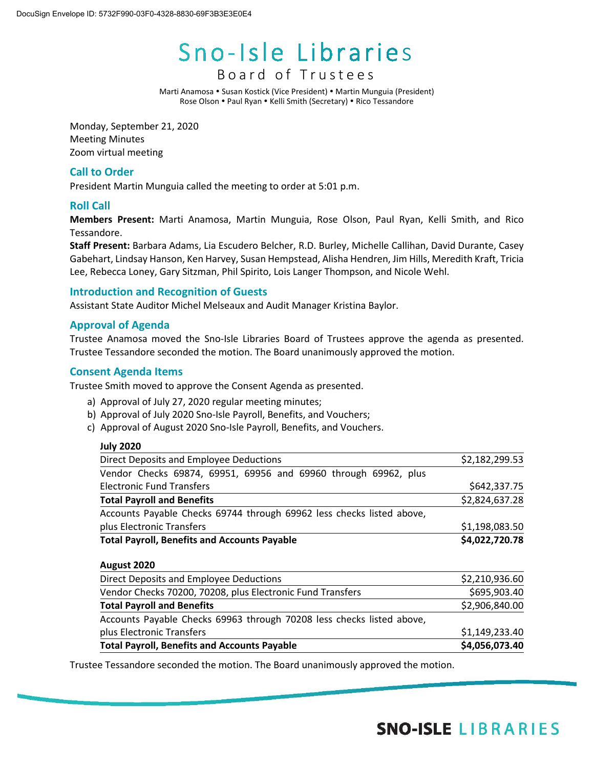# Sno-Isle Libraries

# Board of Truste e s

Marti Anamosa • Susan Kostick (Vice President) • Martin Munguia (President) Rose Olson . Paul Ryan . Kelli Smith (Secretary) . Rico Tessandore

Monday, September 21, 2020 Meeting Minutes Zoom virtual meeting

# **Call to Order**

President Martin Munguia called the meeting to order at 5:01 p.m.

# **Roll Call**

**Members Present:** Marti Anamosa, Martin Munguia, Rose Olson, Paul Ryan, Kelli Smith, and Rico Tessandore.

**Staff Present:** Barbara Adams, Lia Escudero Belcher, R.D. Burley, Michelle Callihan, David Durante, Casey Gabehart, Lindsay Hanson, Ken Harvey, Susan Hempstead, Alisha Hendren, Jim Hills, Meredith Kraft, Tricia Lee, Rebecca Loney, Gary Sitzman, Phil Spirito, Lois Langer Thompson, and Nicole Wehl.

# **Introduction and Recognition of Guests**

Assistant State Auditor Michel Melseaux and Audit Manager Kristina Baylor.

# **Approval of Agenda**

Trustee Anamosa moved the Sno-Isle Libraries Board of Trustees approve the agenda as presented. Trustee Tessandore seconded the motion. The Board unanimously approved the motion.

## **Consent Agenda Items**

Trustee Smith moved to approve the Consent Agenda as presented.

- a) Approval of July 27, 2020 regular meeting minutes;
- b) Approval of July 2020 Sno-Isle Payroll, Benefits, and Vouchers;
- c) Approval of August 2020 Sno-Isle Payroll, Benefits, and Vouchers.

# **July 2020** Direct Deposits and Employee Deductions  $$2,182,299.53$ Vendor Checks 69874, 69951, 69956 and 69960 through 69962, plus Electronic Fund Transfers \$642,337.75 **Total Payroll and Benefits** \$2,824,637.28 Accounts Payable Checks 69744 through 69962 less checks listed above, plus Electronic Transfers \$1,198,083.50 **Total Payroll, Benefits and Accounts Payable \$4,022,720.78 August 2020** Direct Deposits and Employee Deductions **\$2,210,936.60** \$2,210,936.60 Vendor Checks 70200, 70208, plus Electronic Fund Transfers  $$695,903.40$ **Total Payroll and Benefits** \$2,906,840.00 Accounts Payable Checks 69963 through 70208 less checks listed above, plus Electronic Transfers  $\zeta$ 1,149,233.40 **Total Payroll, Benefits and Accounts Payable \$4,056,073.40**

Trustee Tessandore seconded the motion. The Board unanimously approved the motion.

# **SNO-ISLE LIBRARIES**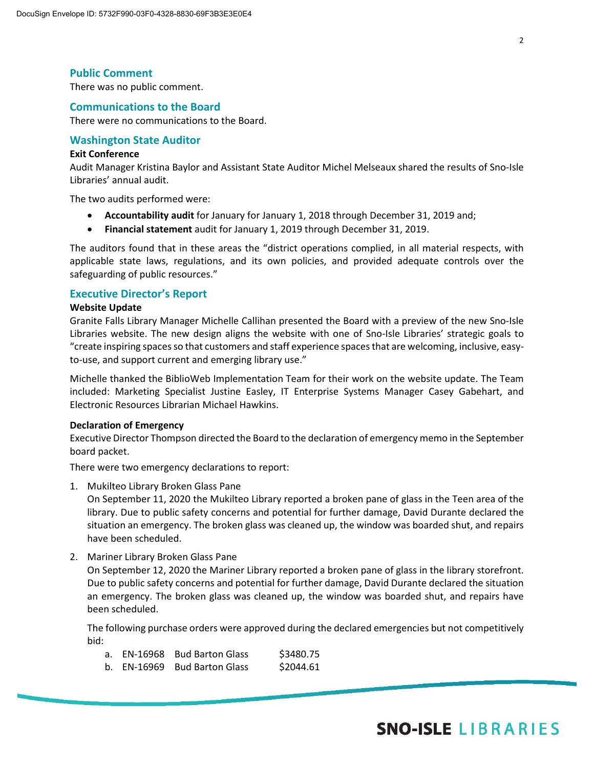There was no public comment.

#### **Communications to the Board**

There were no communications to the Board.

#### **Washington State Auditor**

#### **Exit Conference**

Audit Manager Kristina Baylor and Assistant State Auditor Michel Melseaux shared the results of Sno-Isle Libraries' annual audit.

The two audits performed were:

- **Accountability audit** for January for January 1, 2018 through December 31, 2019 and;
- **Financial statement** audit for January 1, 2019 through December 31, 2019.

The auditors found that in these areas the "district operations complied, in all material respects, with applicable state laws, regulations, and its own policies, and provided adequate controls over the safeguarding of public resources."

#### **Executive Director's Report**

#### **Website Update**

Granite Falls Library Manager Michelle Callihan presented the Board with a preview of the new Sno-Isle Libraries website. The new design aligns the website with one of Sno-Isle Libraries' strategic goals to "create inspiring spaces so that customers and staff experience spaces that are welcoming, inclusive, easyto-use, and support current and emerging library use."

Michelle thanked the BiblioWeb Implementation Team for their work on the website update. The Team included: Marketing Specialist Justine Easley, IT Enterprise Systems Manager Casey Gabehart, and Electronic Resources Librarian Michael Hawkins.

#### **Declaration of Emergency**

Executive Director Thompson directed the Board to the declaration of emergency memo in the September board packet.

There were two emergency declarations to report:

1. Mukilteo Library Broken Glass Pane

On September 11, 2020 the Mukilteo Library reported a broken pane of glass in the Teen area of the library. Due to public safety concerns and potential for further damage, David Durante declared the situation an emergency. The broken glass was cleaned up, the window was boarded shut, and repairs have been scheduled.

2. Mariner Library Broken Glass Pane

On September 12, 2020 the Mariner Library reported a broken pane of glass in the library storefront. Due to public safety concerns and potential for further damage, David Durante declared the situation an emergency. The broken glass was cleaned up, the window was boarded shut, and repairs have been scheduled.

The following purchase orders were approved during the declared emergencies but not competitively bid:

|  | a. EN-16968 Bud Barton Glass | \$3480.75 |
|--|------------------------------|-----------|
|  | b. EN-16969 Bud Barton Glass | \$2044.61 |

# **SNO-ISLE LIBRARIES**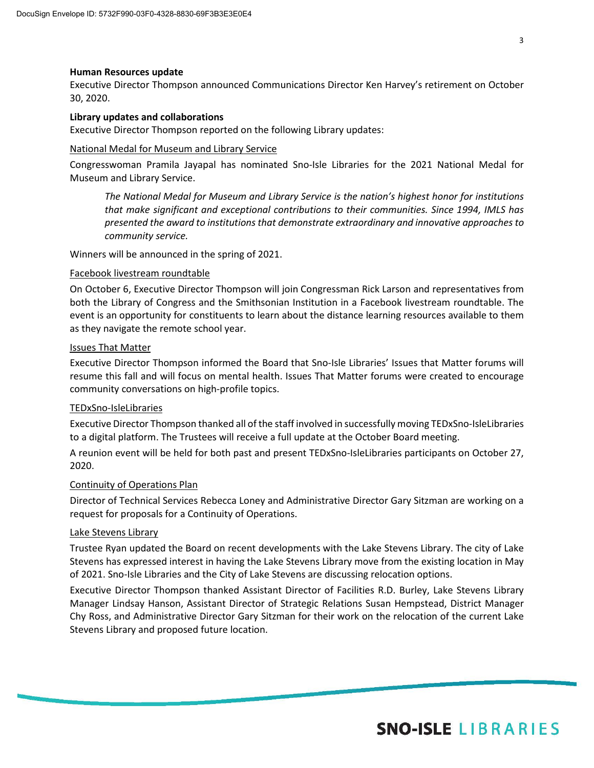#### **Human Resources update**

Executive Director Thompson announced Communications Director Ken Harvey's retirement on October 30, 2020.

#### **Library updates and collaborations**

Executive Director Thompson reported on the following Library updates:

#### National Medal for Museum and Library Service

Congresswoman Pramila Jayapal has nominated Sno-Isle Libraries for the 2021 National Medal for Museum and Library Service.

*The National Medal for Museum and Library Service is the nation's highest honor for institutions that make significant and exceptional contributions to their communities. Since 1994, IMLS has presented the award to institutions that demonstrate extraordinary and innovative approaches to community service.*

Winners will be announced in the spring of 2021.

#### Facebook livestream roundtable

On October 6, Executive Director Thompson will join Congressman Rick Larson and representatives from both the Library of Congress and the Smithsonian Institution in a Facebook livestream roundtable. The event is an opportunity for constituents to learn about the distance learning resources available to them as they navigate the remote school year.

#### Issues That Matter

Executive Director Thompson informed the Board that Sno-Isle Libraries' Issues that Matter forums will resume this fall and will focus on mental health. Issues That Matter forums were created to encourage community conversations on high-profile topics.

#### TEDxSno-IsleLibraries

Executive Director Thompson thanked all of the staff involved in successfully moving TEDxSno-IsleLibraries to a digital platform. The Trustees will receive a full update at the October Board meeting.

A reunion event will be held for both past and present TEDxSno-IsleLibraries participants on October 27, 2020.

#### Continuity of Operations Plan

Director of Technical Services Rebecca Loney and Administrative Director Gary Sitzman are working on a request for proposals for a Continuity of Operations.

#### Lake Stevens Library

Trustee Ryan updated the Board on recent developments with the Lake Stevens Library. The city of Lake Stevens has expressed interest in having the Lake Stevens Library move from the existing location in May of 2021. Sno-Isle Libraries and the City of Lake Stevens are discussing relocation options.

Executive Director Thompson thanked Assistant Director of Facilities R.D. Burley, Lake Stevens Library Manager Lindsay Hanson, Assistant Director of Strategic Relations Susan Hempstead, District Manager Chy Ross, and Administrative Director Gary Sitzman for their work on the relocation of the current Lake Stevens Library and proposed future location.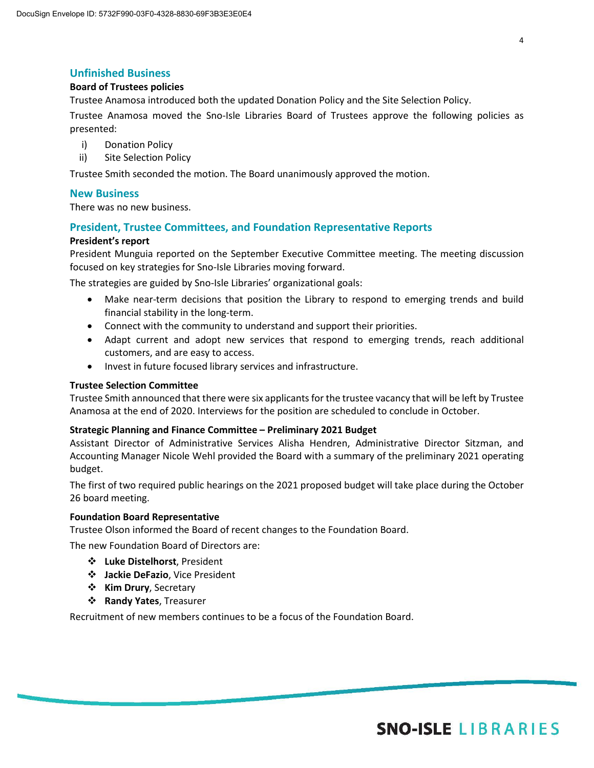#### **Unfinished Business**

#### **Board of Trustees policies**

Trustee Anamosa introduced both the updated Donation Policy and the Site Selection Policy.

Trustee Anamosa moved the Sno-Isle Libraries Board of Trustees approve the following policies as presented:

- i) Donation Policy
- ii) Site Selection Policy

Trustee Smith seconded the motion. The Board unanimously approved the motion.

#### **New Business**

There was no new business.

#### **President, Trustee Committees, and Foundation Representative Reports**

#### **President's report**

President Munguia reported on the September Executive Committee meeting. The meeting discussion focused on key strategies for Sno-Isle Libraries moving forward.

The strategies are guided by Sno-Isle Libraries' organizational goals:

- Make near-term decisions that position the Library to respond to emerging trends and build financial stability in the long-term.
- Connect with the community to understand and support their priorities.
- Adapt current and adopt new services that respond to emerging trends, reach additional customers, and are easy to access.
- Invest in future focused library services and infrastructure.

#### **Trustee Selection Committee**

Trustee Smith announced that there were six applicants for the trustee vacancy that will be left by Trustee Anamosa at the end of 2020. Interviews for the position are scheduled to conclude in October.

#### **Strategic Planning and Finance Committee – Preliminary 2021 Budget**

Assistant Director of Administrative Services Alisha Hendren, Administrative Director Sitzman, and Accounting Manager Nicole Wehl provided the Board with a summary of the preliminary 2021 operating budget.

The first of two required public hearings on the 2021 proposed budget will take place during the October 26 board meeting.

#### **Foundation Board Representative**

Trustee Olson informed the Board of recent changes to the Foundation Board.

The new Foundation Board of Directors are:

- **Luke Distelhorst**, President
- **Jackie DeFazio**, Vice President
- **\*** Kim Drury, Secretary
- **Randy Yates**, Treasurer

Recruitment of new members continues to be a focus of the Foundation Board.

4